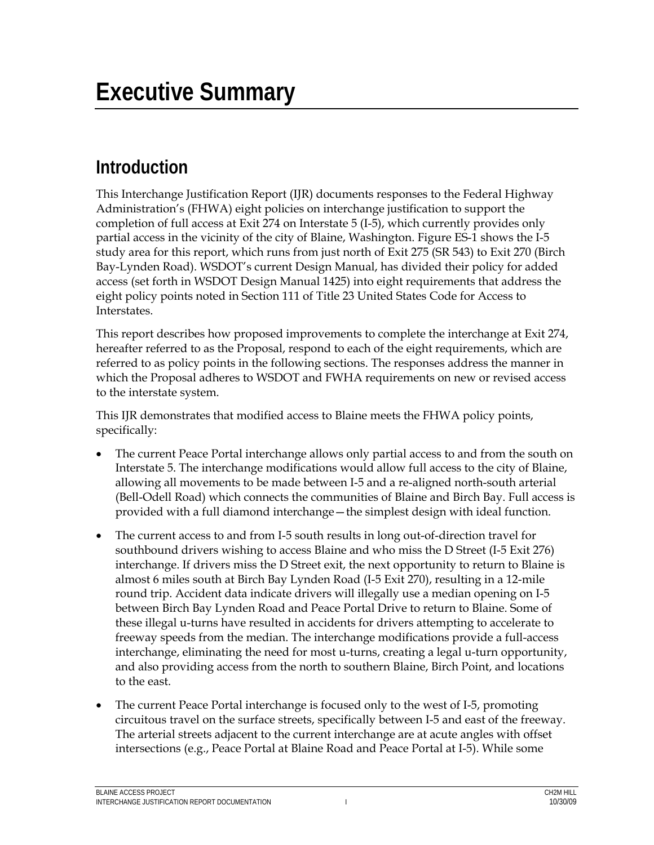## **Introduction**

This Interchange Justification Report (IJR) documents responses to the Federal Highway Administration's (FHWA) eight policies on interchange justification to support the completion of full access at Exit 274 on Interstate 5 (I-5), which currently provides only partial access in the vicinity of the city of Blaine, Washington. Figure ES-1 shows the I-5 study area for this report, which runs from just north of Exit 275 (SR 543) to Exit 270 (Birch Bay-Lynden Road). WSDOT's current Design Manual, has divided their policy for added access (set forth in WSDOT Design Manual 1425) into eight requirements that address the eight policy points noted in Section 111 of Title 23 United States Code for Access to Interstates.

This report describes how proposed improvements to complete the interchange at Exit 274, hereafter referred to as the Proposal, respond to each of the eight requirements, which are referred to as policy points in the following sections. The responses address the manner in which the Proposal adheres to WSDOT and FWHA requirements on new or revised access to the interstate system.

This IJR demonstrates that modified access to Blaine meets the FHWA policy points, specifically:

- The current Peace Portal interchange allows only partial access to and from the south on Interstate 5. The interchange modifications would allow full access to the city of Blaine, allowing all movements to be made between I-5 and a re-aligned north-south arterial (Bell-Odell Road) which connects the communities of Blaine and Birch Bay. Full access is provided with a full diamond interchange—the simplest design with ideal function.
- The current access to and from I-5 south results in long out-of-direction travel for southbound drivers wishing to access Blaine and who miss the D Street (I-5 Exit 276) interchange. If drivers miss the D Street exit, the next opportunity to return to Blaine is almost 6 miles south at Birch Bay Lynden Road (I-5 Exit 270), resulting in a 12-mile round trip. Accident data indicate drivers will illegally use a median opening on I-5 between Birch Bay Lynden Road and Peace Portal Drive to return to Blaine. Some of these illegal u-turns have resulted in accidents for drivers attempting to accelerate to freeway speeds from the median. The interchange modifications provide a full-access interchange, eliminating the need for most u-turns, creating a legal u-turn opportunity, and also providing access from the north to southern Blaine, Birch Point, and locations to the east.
- The current Peace Portal interchange is focused only to the west of I-5, promoting circuitous travel on the surface streets, specifically between I-5 and east of the freeway. The arterial streets adjacent to the current interchange are at acute angles with offset intersections (e.g., Peace Portal at Blaine Road and Peace Portal at I-5). While some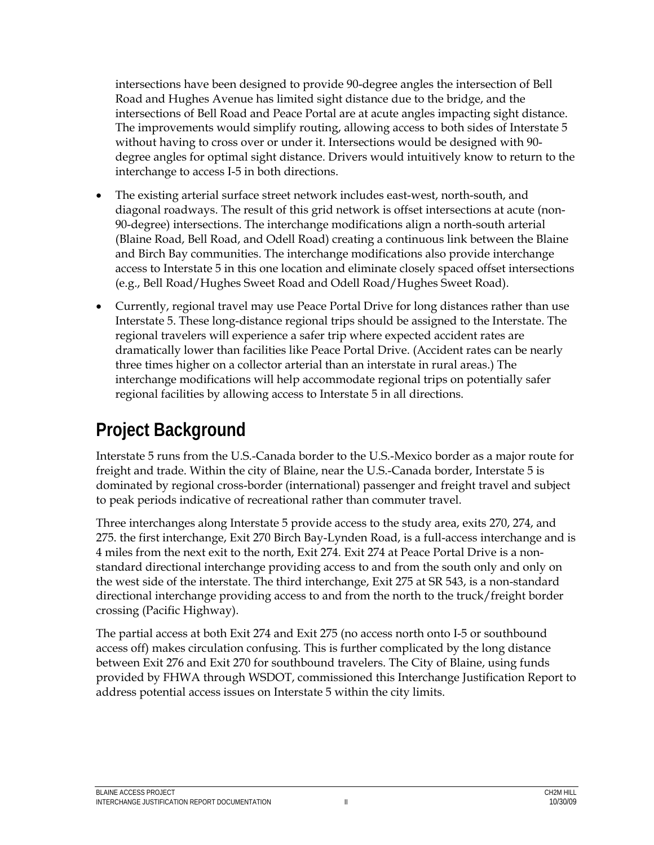intersections have been designed to provide 90-degree angles the intersection of Bell Road and Hughes Avenue has limited sight distance due to the bridge, and the intersections of Bell Road and Peace Portal are at acute angles impacting sight distance. The improvements would simplify routing, allowing access to both sides of Interstate 5 without having to cross over or under it. Intersections would be designed with 90 degree angles for optimal sight distance. Drivers would intuitively know to return to the interchange to access I-5 in both directions.

- The existing arterial surface street network includes east-west, north-south, and diagonal roadways. The result of this grid network is offset intersections at acute (non-90-degree) intersections. The interchange modifications align a north-south arterial (Blaine Road, Bell Road, and Odell Road) creating a continuous link between the Blaine and Birch Bay communities. The interchange modifications also provide interchange access to Interstate 5 in this one location and eliminate closely spaced offset intersections (e.g., Bell Road/Hughes Sweet Road and Odell Road/Hughes Sweet Road).
- Currently, regional travel may use Peace Portal Drive for long distances rather than use Interstate 5. These long-distance regional trips should be assigned to the Interstate. The regional travelers will experience a safer trip where expected accident rates are dramatically lower than facilities like Peace Portal Drive. (Accident rates can be nearly three times higher on a collector arterial than an interstate in rural areas.) The interchange modifications will help accommodate regional trips on potentially safer regional facilities by allowing access to Interstate 5 in all directions.

## **Project Background**

Interstate 5 runs from the U.S.-Canada border to the U.S.-Mexico border as a major route for freight and trade. Within the city of Blaine, near the U.S.-Canada border, Interstate 5 is dominated by regional cross-border (international) passenger and freight travel and subject to peak periods indicative of recreational rather than commuter travel.

Three interchanges along Interstate 5 provide access to the study area, exits 270, 274, and 275. the first interchange, Exit 270 Birch Bay-Lynden Road, is a full-access interchange and is 4 miles from the next exit to the north, Exit 274. Exit 274 at Peace Portal Drive is a nonstandard directional interchange providing access to and from the south only and only on the west side of the interstate. The third interchange, Exit 275 at SR 543, is a non-standard directional interchange providing access to and from the north to the truck/freight border crossing (Pacific Highway).

The partial access at both Exit 274 and Exit 275 (no access north onto I-5 or southbound access off) makes circulation confusing. This is further complicated by the long distance between Exit 276 and Exit 270 for southbound travelers. The City of Blaine, using funds provided by FHWA through WSDOT, commissioned this Interchange Justification Report to address potential access issues on Interstate 5 within the city limits.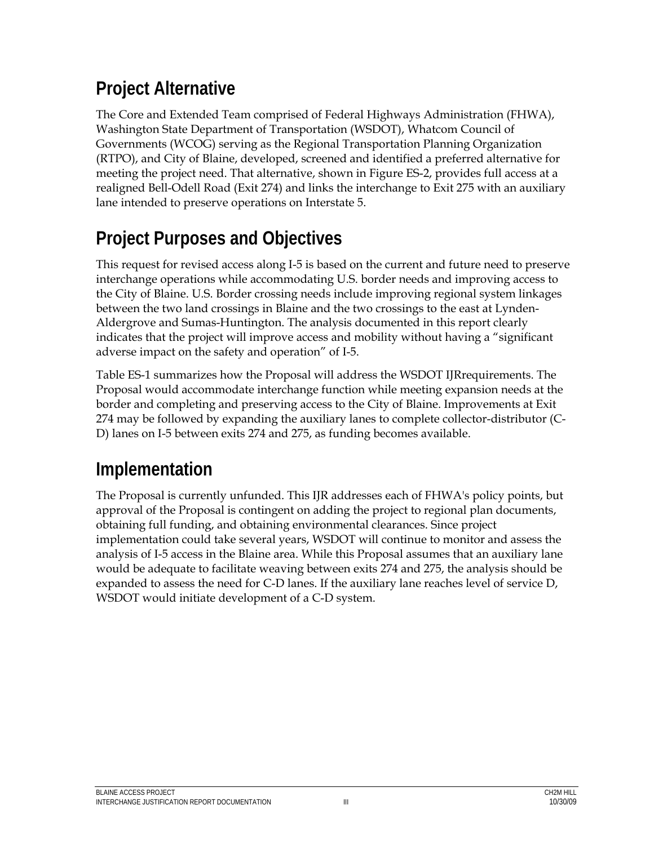## **Project Alternative**

The Core and Extended Team comprised of Federal Highways Administration (FHWA), Washington State Department of Transportation (WSDOT), Whatcom Council of Governments (WCOG) serving as the Regional Transportation Planning Organization (RTPO), and City of Blaine, developed, screened and identified a preferred alternative for meeting the project need. That alternative, shown in Figure ES-2, provides full access at a realigned Bell-Odell Road (Exit 274) and links the interchange to Exit 275 with an auxiliary lane intended to preserve operations on Interstate 5.

# **Project Purposes and Objectives**

This request for revised access along I-5 is based on the current and future need to preserve interchange operations while accommodating U.S. border needs and improving access to the City of Blaine. U.S. Border crossing needs include improving regional system linkages between the two land crossings in Blaine and the two crossings to the east at Lynden-Aldergrove and Sumas-Huntington. The analysis documented in this report clearly indicates that the project will improve access and mobility without having a "significant adverse impact on the safety and operation" of I-5.

Table ES-1 summarizes how the Proposal will address the WSDOT IJRrequirements. The Proposal would accommodate interchange function while meeting expansion needs at the border and completing and preserving access to the City of Blaine. Improvements at Exit 274 may be followed by expanding the auxiliary lanes to complete collector-distributor (C-D) lanes on I-5 between exits 274 and 275, as funding becomes available.

#### **Implementation**

The Proposal is currently unfunded. This IJR addresses each of FHWA's policy points, but approval of the Proposal is contingent on adding the project to regional plan documents, obtaining full funding, and obtaining environmental clearances. Since project implementation could take several years, WSDOT will continue to monitor and assess the analysis of I-5 access in the Blaine area. While this Proposal assumes that an auxiliary lane would be adequate to facilitate weaving between exits 274 and 275, the analysis should be expanded to assess the need for C-D lanes. If the auxiliary lane reaches level of service D, WSDOT would initiate development of a C-D system.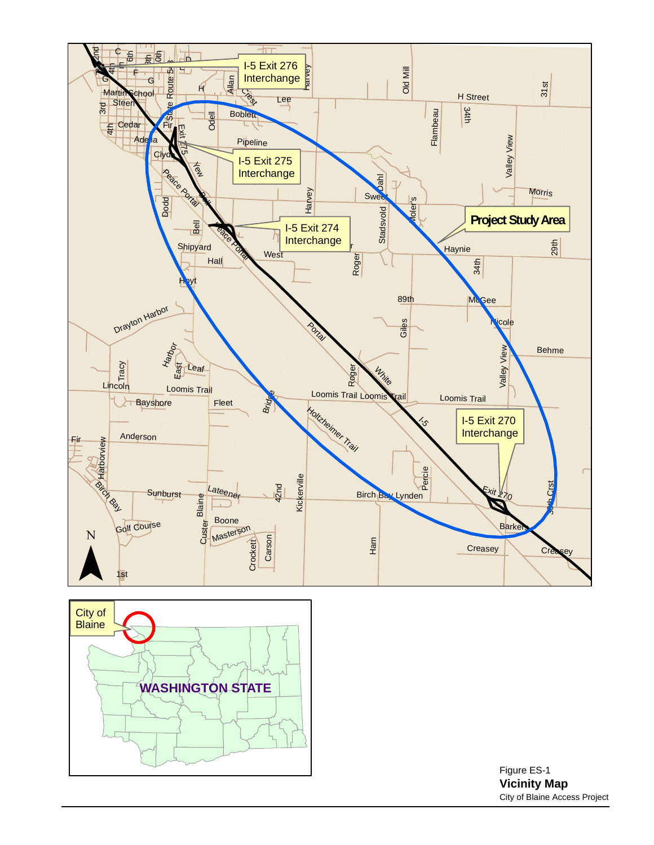



Figure ES-1 **Vicinity Map** City of Blaine Access Project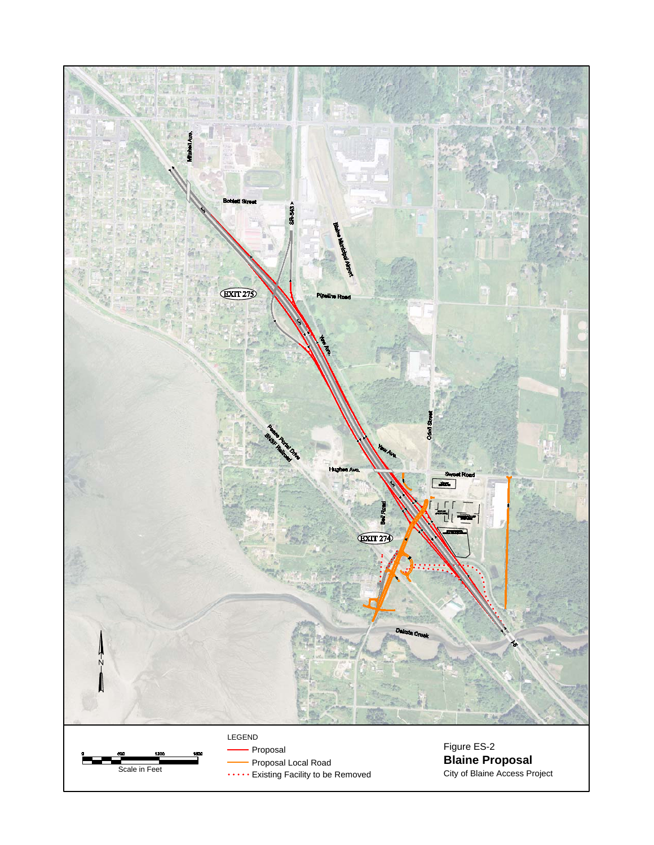



Proposal - Proposal Local Road Figure ES-2 **Blaine Proposal**<br>City of Blaine Access Project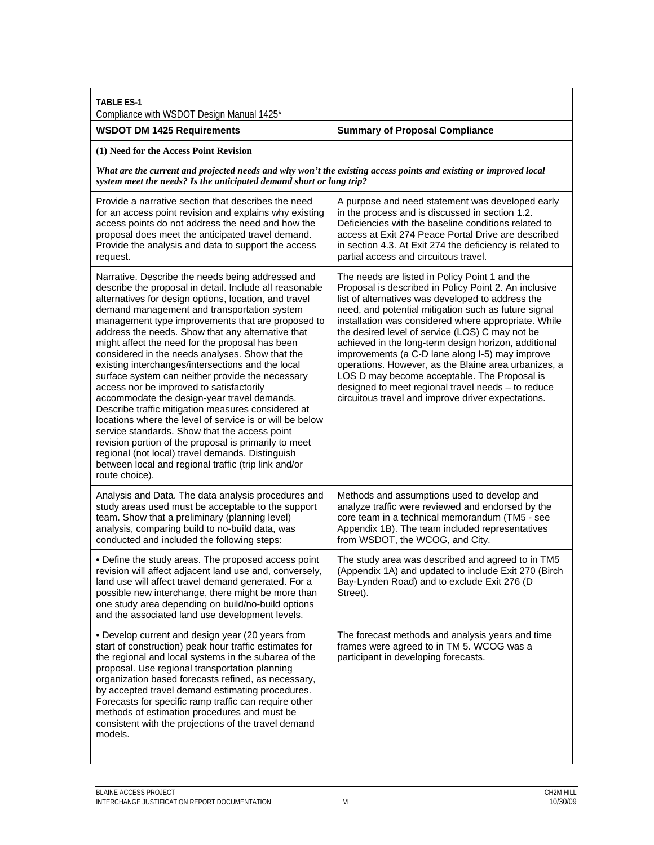| <b>TABLE ES-1</b><br>Compliance with WSDOT Design Manual 1425*                                                                                                                                                                                                                                                                                                                                                                                                                                                                                                                                                                                                                                                                                                                                                                                                                                                                                                                                     |                                                                                                                                                                                                                                                                                                                                                                                                                                                                                                                                                                                                                                                                |
|----------------------------------------------------------------------------------------------------------------------------------------------------------------------------------------------------------------------------------------------------------------------------------------------------------------------------------------------------------------------------------------------------------------------------------------------------------------------------------------------------------------------------------------------------------------------------------------------------------------------------------------------------------------------------------------------------------------------------------------------------------------------------------------------------------------------------------------------------------------------------------------------------------------------------------------------------------------------------------------------------|----------------------------------------------------------------------------------------------------------------------------------------------------------------------------------------------------------------------------------------------------------------------------------------------------------------------------------------------------------------------------------------------------------------------------------------------------------------------------------------------------------------------------------------------------------------------------------------------------------------------------------------------------------------|
| <b>WSDOT DM 1425 Requirements</b>                                                                                                                                                                                                                                                                                                                                                                                                                                                                                                                                                                                                                                                                                                                                                                                                                                                                                                                                                                  | <b>Summary of Proposal Compliance</b>                                                                                                                                                                                                                                                                                                                                                                                                                                                                                                                                                                                                                          |
| (1) Need for the Access Point Revision                                                                                                                                                                                                                                                                                                                                                                                                                                                                                                                                                                                                                                                                                                                                                                                                                                                                                                                                                             |                                                                                                                                                                                                                                                                                                                                                                                                                                                                                                                                                                                                                                                                |
| What are the current and projected needs and why won't the existing access points and existing or improved local<br>system meet the needs? Is the anticipated demand short or long trip?                                                                                                                                                                                                                                                                                                                                                                                                                                                                                                                                                                                                                                                                                                                                                                                                           |                                                                                                                                                                                                                                                                                                                                                                                                                                                                                                                                                                                                                                                                |
| Provide a narrative section that describes the need<br>for an access point revision and explains why existing<br>access points do not address the need and how the<br>proposal does meet the anticipated travel demand.<br>Provide the analysis and data to support the access<br>request.                                                                                                                                                                                                                                                                                                                                                                                                                                                                                                                                                                                                                                                                                                         | A purpose and need statement was developed early<br>in the process and is discussed in section 1.2.<br>Deficiencies with the baseline conditions related to<br>access at Exit 274 Peace Portal Drive are described<br>in section 4.3. At Exit 274 the deficiency is related to<br>partial access and circuitous travel.                                                                                                                                                                                                                                                                                                                                        |
| Narrative. Describe the needs being addressed and<br>describe the proposal in detail. Include all reasonable<br>alternatives for design options, location, and travel<br>demand management and transportation system<br>management type improvements that are proposed to<br>address the needs. Show that any alternative that<br>might affect the need for the proposal has been<br>considered in the needs analyses. Show that the<br>existing interchanges/intersections and the local<br>surface system can neither provide the necessary<br>access nor be improved to satisfactorily<br>accommodate the design-year travel demands.<br>Describe traffic mitigation measures considered at<br>locations where the level of service is or will be below<br>service standards. Show that the access point<br>revision portion of the proposal is primarily to meet<br>regional (not local) travel demands. Distinguish<br>between local and regional traffic (trip link and/or<br>route choice). | The needs are listed in Policy Point 1 and the<br>Proposal is described in Policy Point 2. An inclusive<br>list of alternatives was developed to address the<br>need, and potential mitigation such as future signal<br>installation was considered where appropriate. While<br>the desired level of service (LOS) C may not be<br>achieved in the long-term design horizon, additional<br>improvements (a C-D lane along I-5) may improve<br>operations. However, as the Blaine area urbanizes, a<br>LOS D may become acceptable. The Proposal is<br>designed to meet regional travel needs - to reduce<br>circuitous travel and improve driver expectations. |
| Analysis and Data. The data analysis procedures and<br>study areas used must be acceptable to the support<br>team. Show that a preliminary (planning level)<br>analysis, comparing build to no-build data, was<br>conducted and included the following steps:                                                                                                                                                                                                                                                                                                                                                                                                                                                                                                                                                                                                                                                                                                                                      | Methods and assumptions used to develop and<br>analyze traffic were reviewed and endorsed by the<br>core team in a technical memorandum (TM5 - see<br>Appendix 1B). The team included representatives<br>from WSDOT, the WCOG, and City.                                                                                                                                                                                                                                                                                                                                                                                                                       |
| • Define the study areas. The proposed access point<br>revision will affect adjacent land use and, conversely,<br>land use will affect travel demand generated. For a<br>possible new interchange, there might be more than<br>one study area depending on build/no-build options<br>and the associated land use development levels.                                                                                                                                                                                                                                                                                                                                                                                                                                                                                                                                                                                                                                                               | The study area was described and agreed to in TM5<br>(Appendix 1A) and updated to include Exit 270 (Birch<br>Bay-Lynden Road) and to exclude Exit 276 (D<br>Street).                                                                                                                                                                                                                                                                                                                                                                                                                                                                                           |
| • Develop current and design year (20 years from<br>start of construction) peak hour traffic estimates for<br>the regional and local systems in the subarea of the<br>proposal. Use regional transportation planning<br>organization based forecasts refined, as necessary,<br>by accepted travel demand estimating procedures.<br>Forecasts for specific ramp traffic can require other<br>methods of estimation procedures and must be<br>consistent with the projections of the travel demand<br>models.                                                                                                                                                                                                                                                                                                                                                                                                                                                                                        | The forecast methods and analysis years and time<br>frames were agreed to in TM 5. WCOG was a<br>participant in developing forecasts.                                                                                                                                                                                                                                                                                                                                                                                                                                                                                                                          |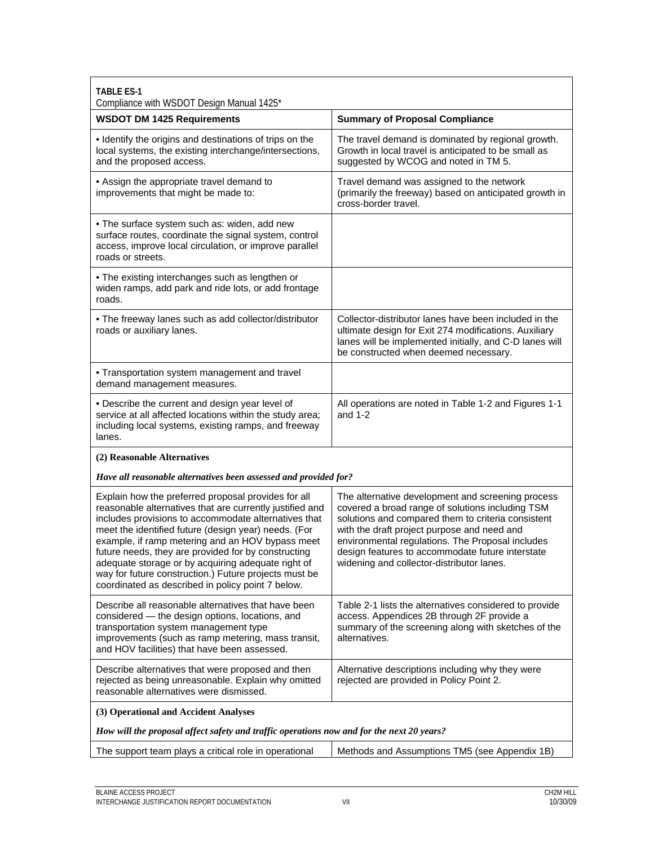| <b>TABLE ES-1</b><br>Compliance with WSDOT Design Manual 1425*                                                                                                                                                                                                                                                                                                                                                                                                                                                 |                                                                                                                                                                                                                                                                                                                                                                 |
|----------------------------------------------------------------------------------------------------------------------------------------------------------------------------------------------------------------------------------------------------------------------------------------------------------------------------------------------------------------------------------------------------------------------------------------------------------------------------------------------------------------|-----------------------------------------------------------------------------------------------------------------------------------------------------------------------------------------------------------------------------------------------------------------------------------------------------------------------------------------------------------------|
| <b>WSDOT DM 1425 Requirements</b>                                                                                                                                                                                                                                                                                                                                                                                                                                                                              | <b>Summary of Proposal Compliance</b>                                                                                                                                                                                                                                                                                                                           |
| • Identify the origins and destinations of trips on the<br>local systems, the existing interchange/intersections,<br>and the proposed access.                                                                                                                                                                                                                                                                                                                                                                  | The travel demand is dominated by regional growth.<br>Growth in local travel is anticipated to be small as<br>suggested by WCOG and noted in TM 5.                                                                                                                                                                                                              |
| • Assign the appropriate travel demand to<br>improvements that might be made to:                                                                                                                                                                                                                                                                                                                                                                                                                               | Travel demand was assigned to the network<br>(primarily the freeway) based on anticipated growth in<br>cross-border travel.                                                                                                                                                                                                                                     |
| . The surface system such as: widen, add new<br>surface routes, coordinate the signal system, control<br>access, improve local circulation, or improve parallel<br>roads or streets.                                                                                                                                                                                                                                                                                                                           |                                                                                                                                                                                                                                                                                                                                                                 |
| . The existing interchanges such as lengthen or<br>widen ramps, add park and ride lots, or add frontage<br>roads.                                                                                                                                                                                                                                                                                                                                                                                              |                                                                                                                                                                                                                                                                                                                                                                 |
| . The freeway lanes such as add collector/distributor<br>roads or auxiliary lanes.                                                                                                                                                                                                                                                                                                                                                                                                                             | Collector-distributor lanes have been included in the<br>ultimate design for Exit 274 modifications. Auxiliary<br>lanes will be implemented initially, and C-D lanes will<br>be constructed when deemed necessary.                                                                                                                                              |
| • Transportation system management and travel<br>demand management measures.                                                                                                                                                                                                                                                                                                                                                                                                                                   |                                                                                                                                                                                                                                                                                                                                                                 |
| • Describe the current and design year level of<br>service at all affected locations within the study area;<br>including local systems, existing ramps, and freeway<br>lanes.                                                                                                                                                                                                                                                                                                                                  | All operations are noted in Table 1-2 and Figures 1-1<br>and $1-2$                                                                                                                                                                                                                                                                                              |
| (2) Reasonable Alternatives                                                                                                                                                                                                                                                                                                                                                                                                                                                                                    |                                                                                                                                                                                                                                                                                                                                                                 |
| Have all reasonable alternatives been assessed and provided for?                                                                                                                                                                                                                                                                                                                                                                                                                                               |                                                                                                                                                                                                                                                                                                                                                                 |
| Explain how the preferred proposal provides for all<br>reasonable alternatives that are currently justified and<br>includes provisions to accommodate alternatives that<br>meet the identified future (design year) needs. (For<br>example, if ramp metering and an HOV bypass meet<br>future needs, they are provided for by constructing<br>adequate storage or by acquiring adequate right of<br>way for future construction.) Future projects must be<br>coordinated as described in policy point 7 below. | The alternative development and screening process<br>covered a broad range of solutions including TSM<br>solutions and compared them to criteria consistent<br>with the draft project purpose and need and<br>environmental regulations. The Proposal includes<br>design features to accommodate future interstate<br>widening and collector-distributor lanes. |
| Describe all reasonable alternatives that have been<br>considered - the design options, locations, and<br>transportation system management type<br>improvements (such as ramp metering, mass transit,<br>and HOV facilities) that have been assessed.                                                                                                                                                                                                                                                          | Table 2-1 lists the alternatives considered to provide<br>access. Appendices 2B through 2F provide a<br>summary of the screening along with sketches of the<br>alternatives.                                                                                                                                                                                    |
| Describe alternatives that were proposed and then<br>rejected as being unreasonable. Explain why omitted<br>reasonable alternatives were dismissed.                                                                                                                                                                                                                                                                                                                                                            | Alternative descriptions including why they were<br>rejected are provided in Policy Point 2.                                                                                                                                                                                                                                                                    |
| (3) Operational and Accident Analyses                                                                                                                                                                                                                                                                                                                                                                                                                                                                          |                                                                                                                                                                                                                                                                                                                                                                 |
| How will the proposal affect safety and traffic operations now and for the next 20 years?                                                                                                                                                                                                                                                                                                                                                                                                                      |                                                                                                                                                                                                                                                                                                                                                                 |
| The support team plays a critical role in operational                                                                                                                                                                                                                                                                                                                                                                                                                                                          | Methods and Assumptions TM5 (see Appendix 1B)                                                                                                                                                                                                                                                                                                                   |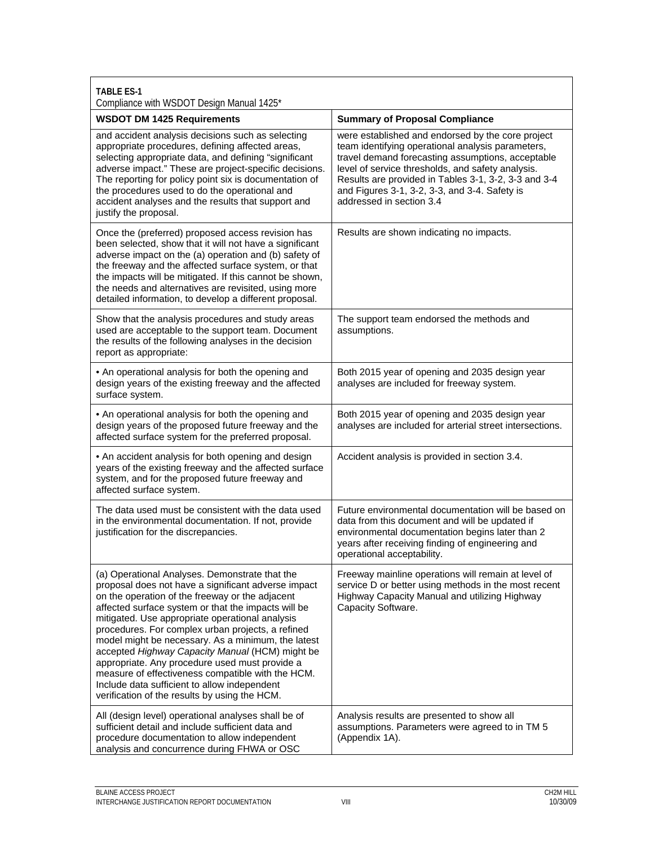| TABLE ES 1<br>Compliance with WSDOT Design Manual 1425*                                                                                                                                                                                                                                                                                                                                                                                                                                                                                                                                                                                  |                                                                                                                                                                                                                                                                                                                                                       |
|------------------------------------------------------------------------------------------------------------------------------------------------------------------------------------------------------------------------------------------------------------------------------------------------------------------------------------------------------------------------------------------------------------------------------------------------------------------------------------------------------------------------------------------------------------------------------------------------------------------------------------------|-------------------------------------------------------------------------------------------------------------------------------------------------------------------------------------------------------------------------------------------------------------------------------------------------------------------------------------------------------|
| <b>WSDOT DM 1425 Requirements</b>                                                                                                                                                                                                                                                                                                                                                                                                                                                                                                                                                                                                        | <b>Summary of Proposal Compliance</b>                                                                                                                                                                                                                                                                                                                 |
| and accident analysis decisions such as selecting<br>appropriate procedures, defining affected areas,<br>selecting appropriate data, and defining "significant<br>adverse impact." These are project-specific decisions.<br>The reporting for policy point six is documentation of<br>the procedures used to do the operational and<br>accident analyses and the results that support and<br>justify the proposal.                                                                                                                                                                                                                       | were established and endorsed by the core project<br>team identifying operational analysis parameters,<br>travel demand forecasting assumptions, acceptable<br>level of service thresholds, and safety analysis.<br>Results are provided in Tables 3-1, 3-2, 3-3 and 3-4<br>and Figures 3-1, 3-2, 3-3, and 3-4. Safety is<br>addressed in section 3.4 |
| Once the (preferred) proposed access revision has<br>been selected, show that it will not have a significant<br>adverse impact on the (a) operation and (b) safety of<br>the freeway and the affected surface system, or that<br>the impacts will be mitigated. If this cannot be shown,<br>the needs and alternatives are revisited, using more<br>detailed information, to develop a different proposal.                                                                                                                                                                                                                               | Results are shown indicating no impacts.                                                                                                                                                                                                                                                                                                              |
| Show that the analysis procedures and study areas<br>used are acceptable to the support team. Document<br>the results of the following analyses in the decision<br>report as appropriate:                                                                                                                                                                                                                                                                                                                                                                                                                                                | The support team endorsed the methods and<br>assumptions.                                                                                                                                                                                                                                                                                             |
| • An operational analysis for both the opening and<br>design years of the existing freeway and the affected<br>surface system.                                                                                                                                                                                                                                                                                                                                                                                                                                                                                                           | Both 2015 year of opening and 2035 design year<br>analyses are included for freeway system.                                                                                                                                                                                                                                                           |
| • An operational analysis for both the opening and<br>design years of the proposed future freeway and the<br>affected surface system for the preferred proposal.                                                                                                                                                                                                                                                                                                                                                                                                                                                                         | Both 2015 year of opening and 2035 design year<br>analyses are included for arterial street intersections.                                                                                                                                                                                                                                            |
| • An accident analysis for both opening and design<br>years of the existing freeway and the affected surface<br>system, and for the proposed future freeway and<br>affected surface system.                                                                                                                                                                                                                                                                                                                                                                                                                                              | Accident analysis is provided in section 3.4.                                                                                                                                                                                                                                                                                                         |
| The data used must be consistent with the data used<br>in the environmental documentation. If not, provide<br>justification for the discrepancies.                                                                                                                                                                                                                                                                                                                                                                                                                                                                                       | Future environmental documentation will be based on<br>data from this document and will be updated if<br>environmental documentation begins later than 2<br>years after receiving finding of engineering and<br>operational acceptability.                                                                                                            |
| (a) Operational Analyses. Demonstrate that the<br>proposal does not have a significant adverse impact<br>on the operation of the freeway or the adjacent<br>affected surface system or that the impacts will be<br>mitigated. Use appropriate operational analysis<br>procedures. For complex urban projects, a refined<br>model might be necessary. As a minimum, the latest<br>accepted Highway Capacity Manual (HCM) might be<br>appropriate. Any procedure used must provide a<br>measure of effectiveness compatible with the HCM.<br>Include data sufficient to allow independent<br>verification of the results by using the HCM. | Freeway mainline operations will remain at level of<br>service D or better using methods in the most recent<br>Highway Capacity Manual and utilizing Highway<br>Capacity Software.                                                                                                                                                                    |
| All (design level) operational analyses shall be of<br>sufficient detail and include sufficient data and<br>procedure documentation to allow independent<br>analysis and concurrence during FHWA or OSC                                                                                                                                                                                                                                                                                                                                                                                                                                  | Analysis results are presented to show all<br>assumptions. Parameters were agreed to in TM 5<br>(Appendix 1A).                                                                                                                                                                                                                                        |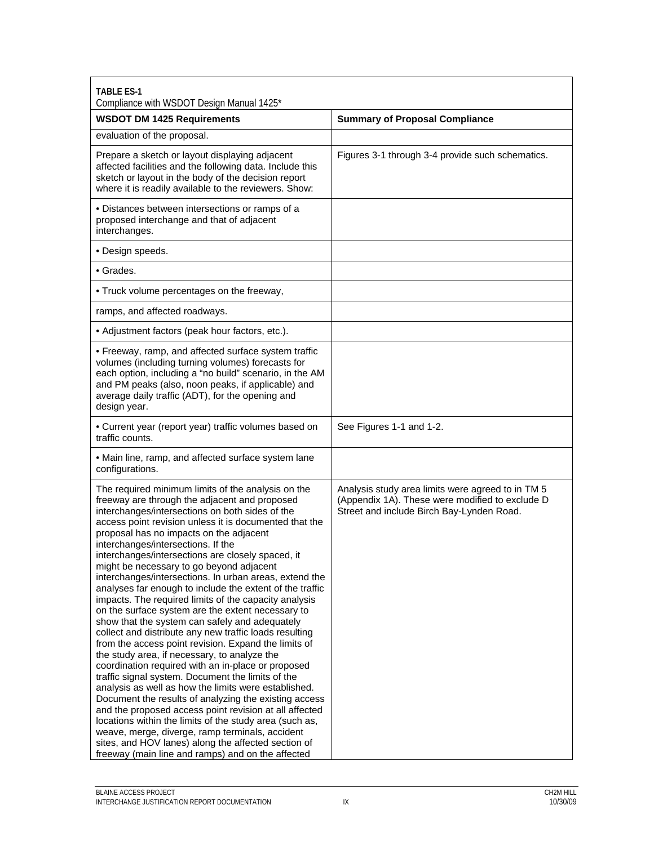| <b>TABLE ES-1</b><br>Compliance with WSDOT Design Manual 1425*                                                                                                                                                                                                                                                                                                                                                                                                                                                                                                                                                                                                                                                                                                                                                                                                                                                                                                                                                                                                                                                                                                                                                                                                                                                                                                             |                                                                                                                                                   |
|----------------------------------------------------------------------------------------------------------------------------------------------------------------------------------------------------------------------------------------------------------------------------------------------------------------------------------------------------------------------------------------------------------------------------------------------------------------------------------------------------------------------------------------------------------------------------------------------------------------------------------------------------------------------------------------------------------------------------------------------------------------------------------------------------------------------------------------------------------------------------------------------------------------------------------------------------------------------------------------------------------------------------------------------------------------------------------------------------------------------------------------------------------------------------------------------------------------------------------------------------------------------------------------------------------------------------------------------------------------------------|---------------------------------------------------------------------------------------------------------------------------------------------------|
| <b>WSDOT DM 1425 Requirements</b>                                                                                                                                                                                                                                                                                                                                                                                                                                                                                                                                                                                                                                                                                                                                                                                                                                                                                                                                                                                                                                                                                                                                                                                                                                                                                                                                          | <b>Summary of Proposal Compliance</b>                                                                                                             |
| evaluation of the proposal.                                                                                                                                                                                                                                                                                                                                                                                                                                                                                                                                                                                                                                                                                                                                                                                                                                                                                                                                                                                                                                                                                                                                                                                                                                                                                                                                                |                                                                                                                                                   |
| Prepare a sketch or layout displaying adjacent<br>affected facilities and the following data. Include this<br>sketch or layout in the body of the decision report<br>where it is readily available to the reviewers. Show:                                                                                                                                                                                                                                                                                                                                                                                                                                                                                                                                                                                                                                                                                                                                                                                                                                                                                                                                                                                                                                                                                                                                                 | Figures 3-1 through 3-4 provide such schematics.                                                                                                  |
| · Distances between intersections or ramps of a<br>proposed interchange and that of adjacent<br>interchanges.                                                                                                                                                                                                                                                                                                                                                                                                                                                                                                                                                                                                                                                                                                                                                                                                                                                                                                                                                                                                                                                                                                                                                                                                                                                              |                                                                                                                                                   |
| • Design speeds.                                                                                                                                                                                                                                                                                                                                                                                                                                                                                                                                                                                                                                                                                                                                                                                                                                                                                                                                                                                                                                                                                                                                                                                                                                                                                                                                                           |                                                                                                                                                   |
| • Grades.                                                                                                                                                                                                                                                                                                                                                                                                                                                                                                                                                                                                                                                                                                                                                                                                                                                                                                                                                                                                                                                                                                                                                                                                                                                                                                                                                                  |                                                                                                                                                   |
| . Truck volume percentages on the freeway,                                                                                                                                                                                                                                                                                                                                                                                                                                                                                                                                                                                                                                                                                                                                                                                                                                                                                                                                                                                                                                                                                                                                                                                                                                                                                                                                 |                                                                                                                                                   |
| ramps, and affected roadways.                                                                                                                                                                                                                                                                                                                                                                                                                                                                                                                                                                                                                                                                                                                                                                                                                                                                                                                                                                                                                                                                                                                                                                                                                                                                                                                                              |                                                                                                                                                   |
| • Adjustment factors (peak hour factors, etc.).                                                                                                                                                                                                                                                                                                                                                                                                                                                                                                                                                                                                                                                                                                                                                                                                                                                                                                                                                                                                                                                                                                                                                                                                                                                                                                                            |                                                                                                                                                   |
| • Freeway, ramp, and affected surface system traffic<br>volumes (including turning volumes) forecasts for<br>each option, including a "no build" scenario, in the AM<br>and PM peaks (also, noon peaks, if applicable) and<br>average daily traffic (ADT), for the opening and<br>design year.                                                                                                                                                                                                                                                                                                                                                                                                                                                                                                                                                                                                                                                                                                                                                                                                                                                                                                                                                                                                                                                                             |                                                                                                                                                   |
| • Current year (report year) traffic volumes based on<br>traffic counts.                                                                                                                                                                                                                                                                                                                                                                                                                                                                                                                                                                                                                                                                                                                                                                                                                                                                                                                                                                                                                                                                                                                                                                                                                                                                                                   | See Figures 1-1 and 1-2.                                                                                                                          |
| . Main line, ramp, and affected surface system lane<br>configurations.                                                                                                                                                                                                                                                                                                                                                                                                                                                                                                                                                                                                                                                                                                                                                                                                                                                                                                                                                                                                                                                                                                                                                                                                                                                                                                     |                                                                                                                                                   |
| The required minimum limits of the analysis on the<br>freeway are through the adjacent and proposed<br>interchanges/intersections on both sides of the<br>access point revision unless it is documented that the<br>proposal has no impacts on the adjacent<br>interchanges/intersections. If the<br>interchanges/intersections are closely spaced, it<br>might be necessary to go beyond adjacent<br>interchanges/intersections. In urban areas, extend the<br>analyses far enough to include the extent of the traffic<br>impacts. The required limits of the capacity analysis<br>on the surface system are the extent necessary to<br>show that the system can safely and adequately<br>collect and distribute any new traffic loads resulting<br>from the access point revision. Expand the limits of<br>the study area, if necessary, to analyze the<br>coordination required with an in-place or proposed<br>traffic signal system. Document the limits of the<br>analysis as well as how the limits were established.<br>Document the results of analyzing the existing access<br>and the proposed access point revision at all affected<br>locations within the limits of the study area (such as,<br>weave, merge, diverge, ramp terminals, accident<br>sites, and HOV lanes) along the affected section of<br>freeway (main line and ramps) and on the affected | Analysis study area limits were agreed to in TM 5<br>(Appendix 1A). These were modified to exclude D<br>Street and include Birch Bay-Lynden Road. |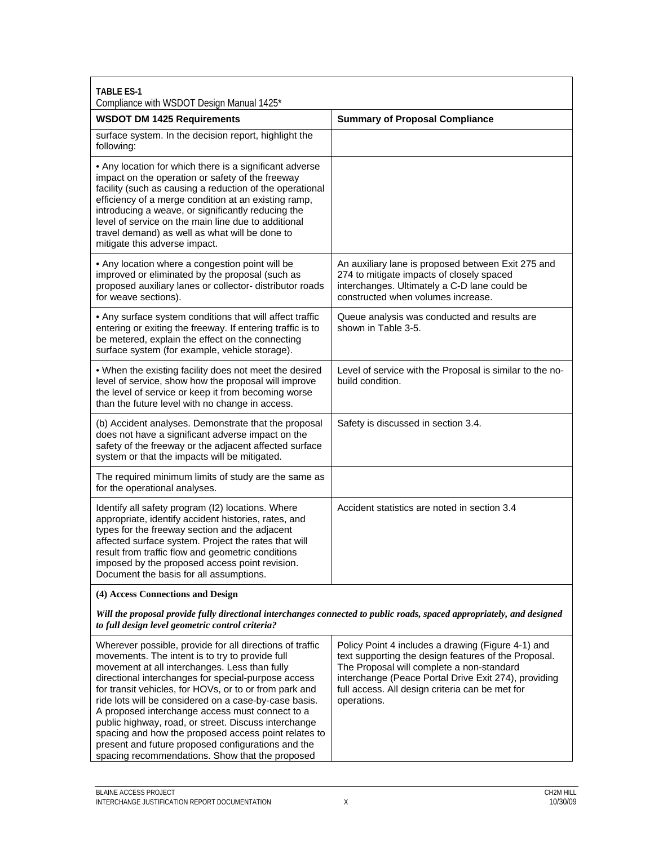| <b>TABLE ES-1</b><br>Compliance with WSDOT Design Manual 1425*                                                                                                                                                                                                                                                                                                                                                                                                                                                                                                                                                     |                                                                                                                                                                                                                                                                                   |
|--------------------------------------------------------------------------------------------------------------------------------------------------------------------------------------------------------------------------------------------------------------------------------------------------------------------------------------------------------------------------------------------------------------------------------------------------------------------------------------------------------------------------------------------------------------------------------------------------------------------|-----------------------------------------------------------------------------------------------------------------------------------------------------------------------------------------------------------------------------------------------------------------------------------|
| <b>WSDOT DM 1425 Requirements</b>                                                                                                                                                                                                                                                                                                                                                                                                                                                                                                                                                                                  | <b>Summary of Proposal Compliance</b>                                                                                                                                                                                                                                             |
| surface system. In the decision report, highlight the<br>following:                                                                                                                                                                                                                                                                                                                                                                                                                                                                                                                                                |                                                                                                                                                                                                                                                                                   |
| • Any location for which there is a significant adverse<br>impact on the operation or safety of the freeway<br>facility (such as causing a reduction of the operational<br>efficiency of a merge condition at an existing ramp,<br>introducing a weave, or significantly reducing the<br>level of service on the main line due to additional<br>travel demand) as well as what will be done to<br>mitigate this adverse impact.                                                                                                                                                                                    |                                                                                                                                                                                                                                                                                   |
| • Any location where a congestion point will be<br>improved or eliminated by the proposal (such as<br>proposed auxiliary lanes or collector- distributor roads<br>for weave sections).                                                                                                                                                                                                                                                                                                                                                                                                                             | An auxiliary lane is proposed between Exit 275 and<br>274 to mitigate impacts of closely spaced<br>interchanges. Ultimately a C-D lane could be<br>constructed when volumes increase.                                                                                             |
| • Any surface system conditions that will affect traffic<br>entering or exiting the freeway. If entering traffic is to<br>be metered, explain the effect on the connecting<br>surface system (for example, vehicle storage).                                                                                                                                                                                                                                                                                                                                                                                       | Queue analysis was conducted and results are<br>shown in Table 3-5.                                                                                                                                                                                                               |
| . When the existing facility does not meet the desired<br>level of service, show how the proposal will improve<br>the level of service or keep it from becoming worse<br>than the future level with no change in access.                                                                                                                                                                                                                                                                                                                                                                                           | Level of service with the Proposal is similar to the no-<br>build condition.                                                                                                                                                                                                      |
| (b) Accident analyses. Demonstrate that the proposal<br>does not have a significant adverse impact on the<br>safety of the freeway or the adjacent affected surface<br>system or that the impacts will be mitigated.                                                                                                                                                                                                                                                                                                                                                                                               | Safety is discussed in section 3.4.                                                                                                                                                                                                                                               |
| The required minimum limits of study are the same as<br>for the operational analyses.                                                                                                                                                                                                                                                                                                                                                                                                                                                                                                                              |                                                                                                                                                                                                                                                                                   |
| Identify all safety program (I2) locations. Where<br>appropriate, identify accident histories, rates, and<br>types for the freeway section and the adjacent<br>affected surface system. Project the rates that will<br>result from traffic flow and geometric conditions<br>imposed by the proposed access point revision.<br>Document the basis for all assumptions.                                                                                                                                                                                                                                              | Accident statistics are noted in section 3.4                                                                                                                                                                                                                                      |
| (4) Access Connections and Design                                                                                                                                                                                                                                                                                                                                                                                                                                                                                                                                                                                  |                                                                                                                                                                                                                                                                                   |
| Will the proposal provide fully directional interchanges connected to public roads, spaced appropriately, and designed<br>to full design level geometric control criteria?                                                                                                                                                                                                                                                                                                                                                                                                                                         |                                                                                                                                                                                                                                                                                   |
| Wherever possible, provide for all directions of traffic<br>movements. The intent is to try to provide full<br>movement at all interchanges. Less than fully<br>directional interchanges for special-purpose access<br>for transit vehicles, for HOVs, or to or from park and<br>ride lots will be considered on a case-by-case basis.<br>A proposed interchange access must connect to a<br>public highway, road, or street. Discuss interchange<br>spacing and how the proposed access point relates to<br>present and future proposed configurations and the<br>spacing recommendations. Show that the proposed | Policy Point 4 includes a drawing (Figure 4-1) and<br>text supporting the design features of the Proposal.<br>The Proposal will complete a non-standard<br>interchange (Peace Portal Drive Exit 274), providing<br>full access. All design criteria can be met for<br>operations. |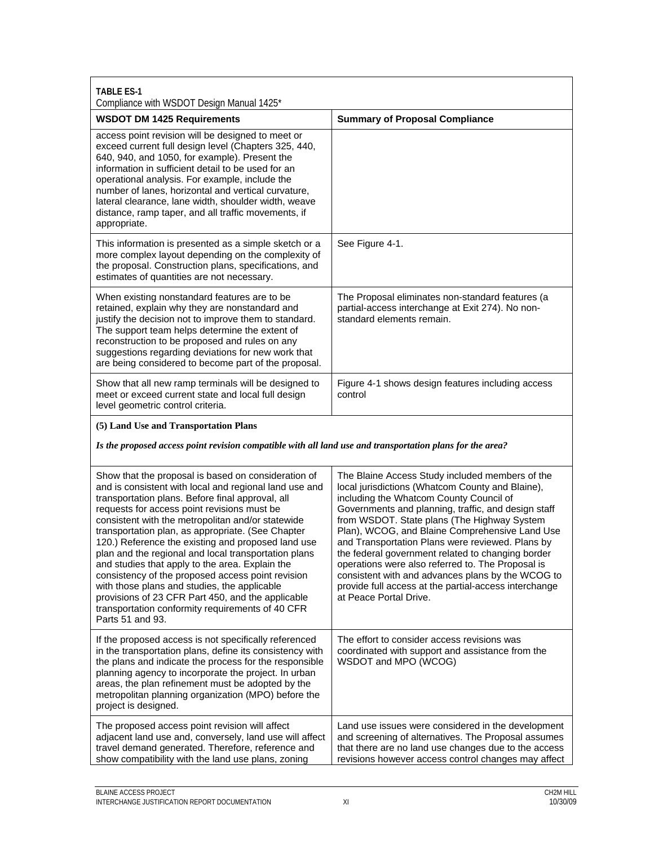| <b>TABLE ES-1</b><br>Compliance with WSDOT Design Manual 1425*                                                                                                                                                                                                                                                                                                                                                                                                                                                                                                                                                                                                                                                                |                                                                                                                                                                                                                                                                                                                                                                                                                                                                                                                                                                                                              |
|-------------------------------------------------------------------------------------------------------------------------------------------------------------------------------------------------------------------------------------------------------------------------------------------------------------------------------------------------------------------------------------------------------------------------------------------------------------------------------------------------------------------------------------------------------------------------------------------------------------------------------------------------------------------------------------------------------------------------------|--------------------------------------------------------------------------------------------------------------------------------------------------------------------------------------------------------------------------------------------------------------------------------------------------------------------------------------------------------------------------------------------------------------------------------------------------------------------------------------------------------------------------------------------------------------------------------------------------------------|
| <b>WSDOT DM 1425 Requirements</b>                                                                                                                                                                                                                                                                                                                                                                                                                                                                                                                                                                                                                                                                                             | <b>Summary of Proposal Compliance</b>                                                                                                                                                                                                                                                                                                                                                                                                                                                                                                                                                                        |
| access point revision will be designed to meet or<br>exceed current full design level (Chapters 325, 440,<br>640, 940, and 1050, for example). Present the<br>information in sufficient detail to be used for an<br>operational analysis. For example, include the<br>number of lanes, horizontal and vertical curvature,<br>lateral clearance, lane width, shoulder width, weave<br>distance, ramp taper, and all traffic movements, if<br>appropriate.                                                                                                                                                                                                                                                                      |                                                                                                                                                                                                                                                                                                                                                                                                                                                                                                                                                                                                              |
| This information is presented as a simple sketch or a<br>more complex layout depending on the complexity of<br>the proposal. Construction plans, specifications, and<br>estimates of quantities are not necessary.                                                                                                                                                                                                                                                                                                                                                                                                                                                                                                            | See Figure 4-1.                                                                                                                                                                                                                                                                                                                                                                                                                                                                                                                                                                                              |
| When existing nonstandard features are to be<br>retained, explain why they are nonstandard and<br>justify the decision not to improve them to standard.<br>The support team helps determine the extent of<br>reconstruction to be proposed and rules on any<br>suggestions regarding deviations for new work that<br>are being considered to become part of the proposal.                                                                                                                                                                                                                                                                                                                                                     | The Proposal eliminates non-standard features (a<br>partial-access interchange at Exit 274). No non-<br>standard elements remain.                                                                                                                                                                                                                                                                                                                                                                                                                                                                            |
| Show that all new ramp terminals will be designed to<br>meet or exceed current state and local full design<br>level geometric control criteria.                                                                                                                                                                                                                                                                                                                                                                                                                                                                                                                                                                               | Figure 4-1 shows design features including access<br>control                                                                                                                                                                                                                                                                                                                                                                                                                                                                                                                                                 |
| (5) Land Use and Transportation Plans                                                                                                                                                                                                                                                                                                                                                                                                                                                                                                                                                                                                                                                                                         |                                                                                                                                                                                                                                                                                                                                                                                                                                                                                                                                                                                                              |
| Is the proposed access point revision compatible with all land use and transportation plans for the area?                                                                                                                                                                                                                                                                                                                                                                                                                                                                                                                                                                                                                     |                                                                                                                                                                                                                                                                                                                                                                                                                                                                                                                                                                                                              |
| Show that the proposal is based on consideration of<br>and is consistent with local and regional land use and<br>transportation plans. Before final approval, all<br>requests for access point revisions must be<br>consistent with the metropolitan and/or statewide<br>transportation plan, as appropriate. (See Chapter<br>120.) Reference the existing and proposed land use<br>plan and the regional and local transportation plans<br>and studies that apply to the area. Explain the<br>consistency of the proposed access point revision<br>with those plans and studies, the applicable<br>provisions of 23 CFR Part 450, and the applicable<br>transportation conformity requirements of 40 CFR<br>Parts 51 and 93. | The Blaine Access Study included members of the<br>local jurisdictions (Whatcom County and Blaine),<br>including the Whatcom County Council of<br>Governments and planning, traffic, and design staff<br>from WSDOT. State plans (The Highway System<br>Plan), WCOG, and Blaine Comprehensive Land Use<br>and Transportation Plans were reviewed. Plans by<br>the federal government related to changing border<br>operations were also referred to. The Proposal is<br>consistent with and advances plans by the WCOG to<br>provide full access at the partial-access interchange<br>at Peace Portal Drive. |
| If the proposed access is not specifically referenced<br>in the transportation plans, define its consistency with<br>the plans and indicate the process for the responsible<br>planning agency to incorporate the project. In urban<br>areas, the plan refinement must be adopted by the<br>metropolitan planning organization (MPO) before the<br>project is designed.                                                                                                                                                                                                                                                                                                                                                       | The effort to consider access revisions was<br>coordinated with support and assistance from the<br>WSDOT and MPO (WCOG)                                                                                                                                                                                                                                                                                                                                                                                                                                                                                      |
| The proposed access point revision will affect<br>adjacent land use and, conversely, land use will affect<br>travel demand generated. Therefore, reference and<br>show compatibility with the land use plans, zoning                                                                                                                                                                                                                                                                                                                                                                                                                                                                                                          | Land use issues were considered in the development<br>and screening of alternatives. The Proposal assumes<br>that there are no land use changes due to the access<br>revisions however access control changes may affect                                                                                                                                                                                                                                                                                                                                                                                     |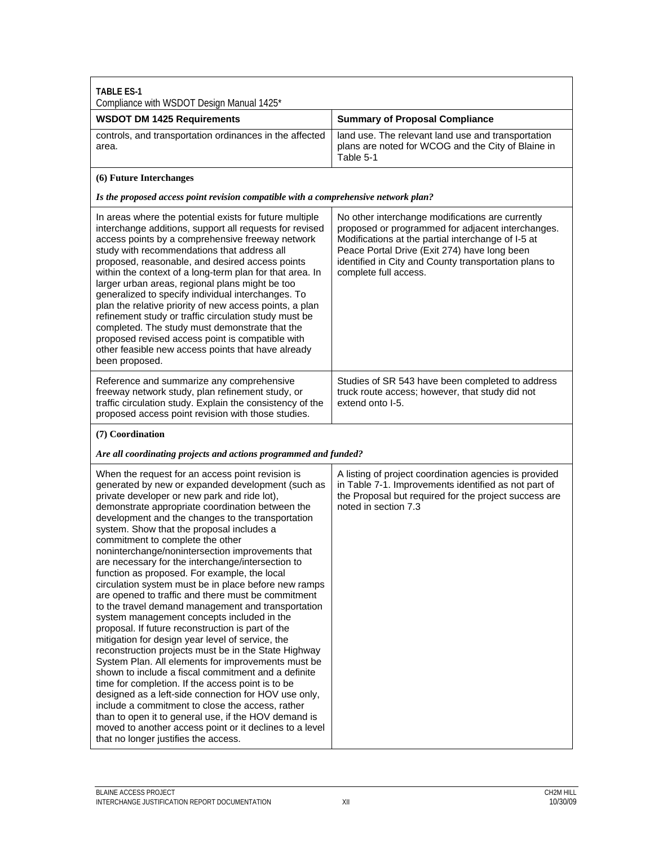| <b>TABLE ES-1</b><br>Compliance with WSDOT Design Manual 1425*                                                                                                                                                                                                                                                                                                                                                                                                                                                                                                                                                                                                                                                                                                                                                                                                                                                                                                                                                                                                                                                                                                                                                                                                                                                                       |                                                                                                                                                                                                                                                                                               |
|--------------------------------------------------------------------------------------------------------------------------------------------------------------------------------------------------------------------------------------------------------------------------------------------------------------------------------------------------------------------------------------------------------------------------------------------------------------------------------------------------------------------------------------------------------------------------------------------------------------------------------------------------------------------------------------------------------------------------------------------------------------------------------------------------------------------------------------------------------------------------------------------------------------------------------------------------------------------------------------------------------------------------------------------------------------------------------------------------------------------------------------------------------------------------------------------------------------------------------------------------------------------------------------------------------------------------------------|-----------------------------------------------------------------------------------------------------------------------------------------------------------------------------------------------------------------------------------------------------------------------------------------------|
| <b>WSDOT DM 1425 Requirements</b>                                                                                                                                                                                                                                                                                                                                                                                                                                                                                                                                                                                                                                                                                                                                                                                                                                                                                                                                                                                                                                                                                                                                                                                                                                                                                                    | <b>Summary of Proposal Compliance</b>                                                                                                                                                                                                                                                         |
| controls, and transportation ordinances in the affected<br>area.                                                                                                                                                                                                                                                                                                                                                                                                                                                                                                                                                                                                                                                                                                                                                                                                                                                                                                                                                                                                                                                                                                                                                                                                                                                                     | land use. The relevant land use and transportation<br>plans are noted for WCOG and the City of Blaine in<br>Table 5-1                                                                                                                                                                         |
| (6) Future Interchanges                                                                                                                                                                                                                                                                                                                                                                                                                                                                                                                                                                                                                                                                                                                                                                                                                                                                                                                                                                                                                                                                                                                                                                                                                                                                                                              |                                                                                                                                                                                                                                                                                               |
| Is the proposed access point revision compatible with a comprehensive network plan?                                                                                                                                                                                                                                                                                                                                                                                                                                                                                                                                                                                                                                                                                                                                                                                                                                                                                                                                                                                                                                                                                                                                                                                                                                                  |                                                                                                                                                                                                                                                                                               |
| In areas where the potential exists for future multiple<br>interchange additions, support all requests for revised<br>access points by a comprehensive freeway network<br>study with recommendations that address all<br>proposed, reasonable, and desired access points<br>within the context of a long-term plan for that area. In<br>larger urban areas, regional plans might be too<br>generalized to specify individual interchanges. To<br>plan the relative priority of new access points, a plan<br>refinement study or traffic circulation study must be<br>completed. The study must demonstrate that the<br>proposed revised access point is compatible with<br>other feasible new access points that have already<br>been proposed.                                                                                                                                                                                                                                                                                                                                                                                                                                                                                                                                                                                      | No other interchange modifications are currently<br>proposed or programmed for adjacent interchanges.<br>Modifications at the partial interchange of I-5 at<br>Peace Portal Drive (Exit 274) have long been<br>identified in City and County transportation plans to<br>complete full access. |
| Reference and summarize any comprehensive<br>freeway network study, plan refinement study, or<br>traffic circulation study. Explain the consistency of the<br>proposed access point revision with those studies.                                                                                                                                                                                                                                                                                                                                                                                                                                                                                                                                                                                                                                                                                                                                                                                                                                                                                                                                                                                                                                                                                                                     | Studies of SR 543 have been completed to address<br>truck route access; however, that study did not<br>extend onto I-5.                                                                                                                                                                       |
| (7) Coordination                                                                                                                                                                                                                                                                                                                                                                                                                                                                                                                                                                                                                                                                                                                                                                                                                                                                                                                                                                                                                                                                                                                                                                                                                                                                                                                     |                                                                                                                                                                                                                                                                                               |
| Are all coordinating projects and actions programmed and funded?                                                                                                                                                                                                                                                                                                                                                                                                                                                                                                                                                                                                                                                                                                                                                                                                                                                                                                                                                                                                                                                                                                                                                                                                                                                                     |                                                                                                                                                                                                                                                                                               |
| When the request for an access point revision is<br>generated by new or expanded development (such as<br>private developer or new park and ride lot),<br>demonstrate appropriate coordination between the<br>development and the changes to the transportation<br>system. Show that the proposal includes a<br>commitment to complete the other<br>noninterchange/nonintersection improvements that<br>are necessary for the interchange/intersection to<br>function as proposed. For example, the local<br>circulation system must be in place before new ramps<br>are opened to traffic and there must be commitment<br>to the travel demand management and transportation<br>system management concepts included in the<br>proposal. If future reconstruction is part of the<br>mitigation for design year level of service, the<br>reconstruction projects must be in the State Highway<br>System Plan. All elements for improvements must be<br>shown to include a fiscal commitment and a definite<br>time for completion. If the access point is to be<br>designed as a left-side connection for HOV use only,<br>include a commitment to close the access, rather<br>than to open it to general use, if the HOV demand is<br>moved to another access point or it declines to a level<br>that no longer justifies the access. | A listing of project coordination agencies is provided<br>in Table 7-1. Improvements identified as not part of<br>the Proposal but required for the project success are<br>noted in section 7.3                                                                                               |